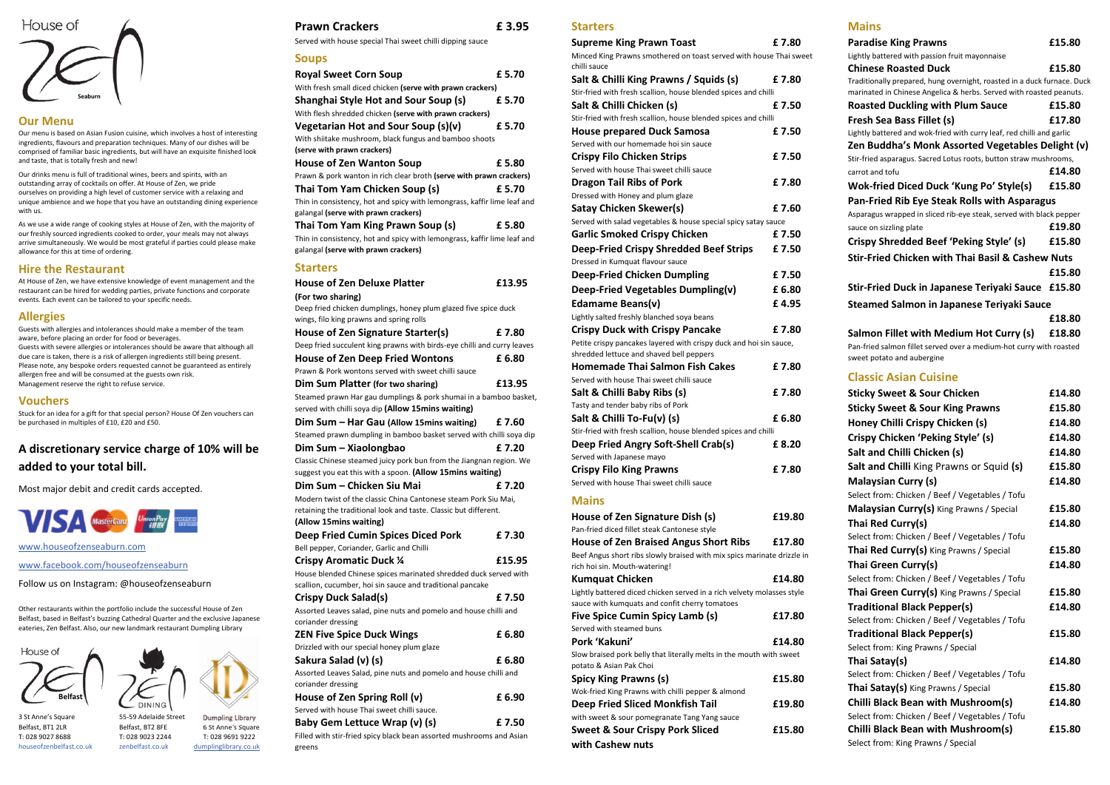#### **Our Menu**

Our menu is based on Asian Fusion cuisine, which involves a host of interesting ingredients, flavours and preparation techniques. Many of our dishes will be comprised of familiar basic ingredients, but will have an exquisite finished look and taste, that is totally fresh and new!

Our drinks menu is full of traditional wines, beers and spirits, with an outstanding array of cocktails on offer. At House of Zen, we pride ourselves on providing a high level of customer service with a relaxing and unique ambience and we hope that you have an outstanding dining experience with us.

As we use a wide range of cooking styles at House of Zen, with the majority of our freshly sourced ingredients cooked to order, your meals may not always arrive simultaneously. We would be most grateful if parties could please make allowance for this at time of ordering.

## **Hire the Restaurant**

At House of Zen, we have extensive knowledge of event management and the restaurant can be hired for wedding parties, private functions and corporate events. Each event can be tailored to your specific needs.

### **Allergies**

Guests with allergies and intolerances should make a member of the team aware, before placing an order for food or beverages. Guests with severe allergies or intolerances should be aware that although all due care is taken, there is a risk of allergen ingredients still being present. Please note, any bespoke orders requested cannot be guaranteed as entirely allergen free and will be consumed at the guests own risk. Management reserve the right to refuse service.

#### **Vouchers**

Stuck for an idea for a gift for that special person? House Of Zen vouchers can be purchased in multiples of £10, £20 and £50.

# **A discretionary service charge of 10% will be added to your total bill.**

Most major debit and credit cards accepted.



www.houseofzenseaburn.com

www.facebook.com/houseofzenseaburn

Follow us on Instagram: @houseofzenseaburn

Other restaurants within the portfolio include the successful House of Zen Belfast, based in Belfast's buzzing Cathedral Quarter and the exclusive Japanese eateries, Zen Belfast. Also, our new landmark restaurant Dumpling Library

House of

#### **Prawn Crackers £ 3.95**

Served with house special Thai sweet chilli dipping sauce

#### **Soups**

| <b>Royal Sweet Corn Soup</b>                                                                                     | £ 5.70 |
|------------------------------------------------------------------------------------------------------------------|--------|
| With fresh small diced chicken (serve with prawn crackers)                                                       |        |
| <b>Shanghai Style Hot and Sour Soup (s)</b>                                                                      | £ 5.70 |
| With flesh shredded chicken (serve with prawn crackers)                                                          |        |
| Vegetarian Hot and Sour Soup (s)(v)                                                                              | £5.70  |
| With shiitake mushroom, black fungus and bamboo shoots                                                           |        |
| (serve with prawn crackers)                                                                                      |        |
| <b>House of Zen Wanton Soup</b>                                                                                  | £ 5.80 |
| Prawn & pork wanton in rich clear broth (serve with prawn crackers)                                              |        |
| Thai Tom Yam Chicken Soup (s)                                                                                    | £ 5.70 |
| Thin in consistency, hot and spicy with lemongrass, kaffir lime leaf and<br>galangal (serve with prawn crackers) |        |
| Thai Tom Yam King Prawn Soup (s)                                                                                 | £ 5.80 |
| Thin in consistency, hot and spicy with lemongrass, kaffir lime leaf and<br>galangal (serve with prawn crackers) |        |
| <b>Starters</b>                                                                                                  |        |

| <b>House of Zen Deluxe Platter</b>                                      | £13.95 |
|-------------------------------------------------------------------------|--------|
| (For two sharing)                                                       |        |
| Deep fried chicken dumplings, honey plum glazed five spice duck         |        |
| wings, filo king prawns and spring rolls                                |        |
| House of Zen Signature Starter(s)                                       | £ 7.80 |
| Deep fried succulent king prawns with birds-eye chilli and curry leaves |        |
| <b>House of Zen Deep Fried Wontons</b>                                  | £6.80  |
| Prawn & Pork wontons served with sweet chilli sauce                     |        |
| Dim Sum Platter (for two sharing)                                       | £13.95 |
| Steamed prawn Har gau dumplings & pork shumai in a bamboo basket,       |        |
| served with chilli soya dip (Allow 15mins waiting)                      |        |
| Dim Sum - Har Gau (Allow 15 mins waiting)                               | £ 7.60 |
| Steamed prawn dumpling in bamboo basket served with chilli soya dip     |        |
| Dim Sum - Xiaolongbao                                                   | £ 7.20 |
| Classic Chinese steamed juicy pork bun from the Jiangnan region. We     |        |
| suggest you eat this with a spoon. (Allow 15mins waiting)               |        |
| Dim Sum - Chicken Siu Mai                                               | £7.20  |
| Modern twist of the classic China Cantonese steam Pork Siu Mai,         |        |
| retaining the traditional look and taste. Classic but different.        |        |
| (Allow 15mins waiting)                                                  |        |
| <b>Deep Fried Cumin Spices Diced Pork</b>                               | £7.30  |
| Bell pepper, Coriander, Garlic and Chilli                               |        |
| <b>Crispy Aromatic Duck 1/4</b>                                         | £15.95 |
| House blended Chinese spices marinated shredded duck served with        |        |
| scallion, cucumber, hoi sin sauce and traditional pancake               |        |
| <b>Crispy Duck Salad(s)</b>                                             | £ 7.50 |
| Assorted Leaves salad, pine nuts and pomelo and house chilli and        |        |
| coriander dressing                                                      |        |
| <b>ZEN Five Spice Duck Wings</b>                                        | £6.80  |
| Drizzled with our special honey plum glaze                              |        |
| Sakura Salad (v) (s)                                                    | £ 6.80 |
| Assorted Leaves Salad, pine nuts and pomelo and house chilli and        |        |
| coriander dressing                                                      |        |
| House of Zen Spring Roll (v)                                            | £6.90  |
| Served with house Thai sweet chilli sauce.                              |        |
| Baby Gem Lettuce Wrap (v) (s)                                           | £ 7.50 |
| Filled with stir-fried spicy black bean assorted mushrooms and Asian    |        |
| greens                                                                  |        |

#### **Starters**



3 St Anne's Square 55-59 Adelaide Street **Dumpling Library** Belfast, BT1 2LR Belfast, BT2 8FE 6 St Anne's Square T: 028 9027 8688 T: 028 9023 2244 T: 028 9691 9222 houseofzenbelfast.co.uk



zenbelfast.co.uk dumplinglibrary.co.uk

| <b>Supreme King Prawn Toast</b>                                                                          | £7.80  |
|----------------------------------------------------------------------------------------------------------|--------|
| Minced King Prawns smothered on toast served with house Thai sweet<br>chilli sauce                       |        |
| Salt & Chilli King Prawns / Squids (s)                                                                   | £7.80  |
| Stir-fried with fresh scallion, house blended spices and chilli                                          |        |
| Salt & Chilli Chicken (s)                                                                                | £7.50  |
| Stir-fried with fresh scallion, house blended spices and chilli                                          |        |
| <b>House prepared Duck Samosa</b>                                                                        | £7.50  |
| Served with our homemade hoi sin sauce                                                                   |        |
| <b>Crispy Filo Chicken Strips</b>                                                                        | £7.50  |
| Served with house Thai sweet chilli sauce                                                                |        |
| <b>Dragon Tail Ribs of Pork</b>                                                                          | £7.80  |
| Dressed with Honey and plum glaze                                                                        |        |
| <b>Satay Chicken Skewer(s)</b>                                                                           | £7.60  |
| Served with salad vegetables & house special spicy satay sauce                                           |        |
| <b>Garlic Smoked Crispy Chicken</b>                                                                      | £7.50  |
| <b>Deep-Fried Crispy Shredded Beef Strips</b>                                                            | £7.50  |
| Dressed in Kumquat flavour sauce                                                                         |        |
| <b>Deep-Fried Chicken Dumpling</b>                                                                       | £7.50  |
| Deep-Fried Vegetables Dumpling(v)                                                                        | £6.80  |
| <b>Edamame Beans(v)</b>                                                                                  | £ 4.95 |
| Lightly salted freshly blanched soya beans                                                               |        |
| <b>Crispy Duck with Crispy Pancake</b>                                                                   | £7.80  |
| Petite crispy pancakes layered with crispy duck and hoi sin sauce,                                       |        |
| shredded lettuce and shaved bell peppers                                                                 |        |
| <b>Homemade Thai Salmon Fish Cakes</b>                                                                   | £7.80  |
| Served with house Thai sweet chilli sauce                                                                |        |
| Salt & Chilli Baby Ribs (s)                                                                              | £7.80  |
| Tasty and tender baby ribs of Pork                                                                       |        |
| Salt & Chilli To-Fu(v) (s)                                                                               | £6.80  |
| Stir-fried with fresh scallion, house blended spices and chilli                                          |        |
| Deep Fried Angry Soft-Shell Crab(s)                                                                      | £ 8.20 |
| Served with Japanese mayo                                                                                |        |
| <b>Crispy Filo King Prawns</b>                                                                           | £7.80  |
| Served with house Thai sweet chilli sauce                                                                |        |
| <b>Mains</b>                                                                                             |        |
|                                                                                                          |        |
| House of Zen Signature Dish (s)                                                                          | £19.80 |
| Pan-fried diced fillet steak Cantonese style                                                             |        |
| <b>House of Zen Braised Angus Short Ribs</b>                                                             | £17.80 |
| Beef Angus short ribs slowly braised with mix spics marinate drizzle in<br>rich hoi sin. Mouth-watering! |        |
| <b>Kumquat Chicken</b>                                                                                   | £14.80 |
| Lightly battered diced chicken served in a rich velvety molasses style                                   |        |
| sauce with kumquats and confit cherry tomatoes                                                           |        |
| <b>Five Spice Cumin Spicy Lamb (s)</b>                                                                   | £17.80 |
| Served with steamed buns                                                                                 |        |
| Pork 'Kakuni'                                                                                            | £14.80 |
| Slow braised pork belly that literally melts in the mouth with sweet                                     |        |
| potato & Asian Pak Choi                                                                                  |        |
| <b>Spicy King Prawns (s)</b>                                                                             | £15.80 |
| Wok-fried King Prawns with chilli pepper & almond                                                        |        |
| <b>Deep Fried Sliced Monkfish Tail</b>                                                                   | £19.80 |
| with sweet & sour pomegranate Tang Yang sauce                                                            |        |
| <b>Sweet &amp; Sour Crispy Pork Sliced</b>                                                               | £15.80 |
| with Cashew nuts                                                                                         |        |

**Mains** 

| <b>Paradise King Prawns</b>                                                                                    | £15.80 |
|----------------------------------------------------------------------------------------------------------------|--------|
| Lightly battered with passion fruit mayonnaise                                                                 |        |
| <b>Chinese Roasted Duck</b>                                                                                    | £15.80 |
| Traditionally prepared, hung overnight, roasted in a duck furnace. Duck                                        |        |
| marinated in Chinese Angelica & herbs. Served with roasted peanuts.<br><b>Roasted Duckling with Plum Sauce</b> | £15.80 |
| Fresh Sea Bass Fillet (s)                                                                                      | £17.80 |
| Lightly battered and wok-fried with curry leaf, red chilli and garlic                                          |        |
| Zen Buddha's Monk Assorted Vegetables Delight (v)                                                              |        |
| Stir-fried asparagus. Sacred Lotus roots, button straw mushrooms,                                              |        |
| carrot and tofu                                                                                                | £14.80 |
| Wok-fried Diced Duck 'Kung Po' Style(s)                                                                        | £15.80 |
| <b>Pan-Fried Rib Eye Steak Rolls with Asparagus</b>                                                            |        |
| Asparagus wrapped in sliced rib-eye steak, served with black pepper                                            |        |
| sauce on sizzling plate                                                                                        | £19.80 |
| Crispy Shredded Beef 'Peking Style' (s)                                                                        | £15.80 |
| <b>Stir-Fried Chicken with Thai Basil &amp; Cashew Nuts</b>                                                    |        |
|                                                                                                                | £15.80 |
| Stir-Fried Duck in Japanese Teriyaki Sauce                                                                     | £15.80 |
| <b>Steamed Salmon in Japanese Teriyaki Sauce</b>                                                               |        |
|                                                                                                                | £18.80 |
|                                                                                                                |        |
| Salmon Fillet with Medium Hot Curry (s)<br>Pan-fried salmon fillet served over a medium-hot curry with roasted | £18.80 |
| sweet potato and aubergine                                                                                     |        |
| <b>Classic Asian Cuisine</b>                                                                                   |        |
| <b>Sticky Sweet &amp; Sour Chicken</b>                                                                         | £14.80 |
| <b>Sticky Sweet &amp; Sour King Prawns</b>                                                                     | £15.80 |
| Honey Chilli Crispy Chicken (s)                                                                                | £14.80 |
| Crispy Chicken 'Peking Style' (s)                                                                              | £14.80 |
| Salt and Chilli Chicken (s)                                                                                    | £14.80 |
| Salt and Chilli King Prawns or Squid (s)                                                                       | £15.80 |
| <b>Malaysian Curry (s)</b>                                                                                     | £14.80 |
| Select from: Chicken / Beef / Vegetables / Tofu                                                                |        |
| Malaysian Curry(s) King Prawns / Special                                                                       | £15.80 |
| Thai Red Curry(s)                                                                                              | £14.80 |
| Select from: Chicken / Beef / Vegetables / Tofu                                                                |        |
| Thai Red Curry(s) King Prawns / Special                                                                        | £15.80 |
| Thai Green Curry(s)                                                                                            | £14.80 |
| Select from: Chicken / Beef / Vegetables / Tofu                                                                |        |
| Thai Green Curry(s) King Prawns / Special                                                                      | £15.80 |
| <b>Traditional Black Pepper(s)</b>                                                                             | £14.80 |
| Select from: Chicken / Beef / Vegetables / Tofu                                                                |        |
| <b>Traditional Black Pepper(s)</b>                                                                             | £15.80 |
| Select from: King Prawns / Special                                                                             |        |
| Thai Satay(s)                                                                                                  | £14.80 |
| Select from: Chicken / Beef / Vegetables / Tofu                                                                |        |
| Thai Satay(s) King Prawns / Special                                                                            | £15.80 |
| <b>Chilli Black Bean with Mushroom(s)</b>                                                                      | £14.80 |
| Select from: Chicken / Beef / Vegetables / Tofu                                                                |        |
| <b>Chilli Black Bean with Mushroom(s)</b>                                                                      | £15.80 |
| Select from: King Prawns / Special                                                                             |        |